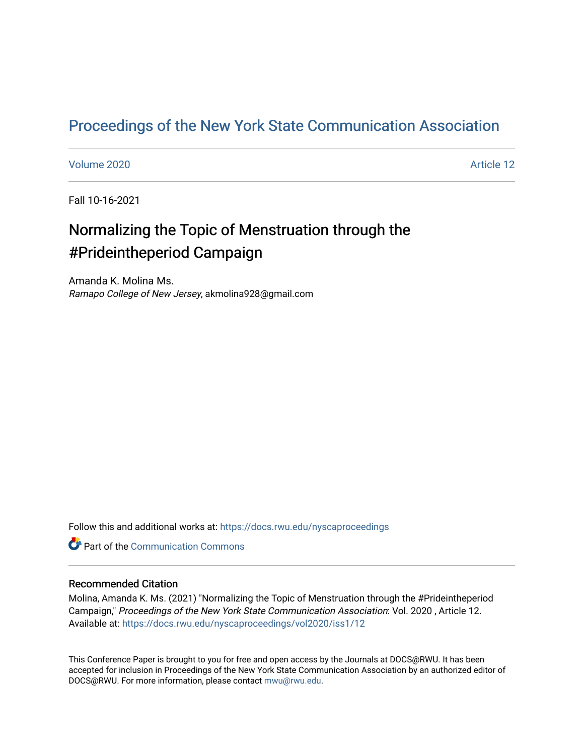## [Proceedings of the New York State Communication Association](https://docs.rwu.edu/nyscaproceedings)

### [Volume 2020](https://docs.rwu.edu/nyscaproceedings/vol2020) [Article 12](https://docs.rwu.edu/nyscaproceedings/vol2020/iss1/12)

Fall 10-16-2021

# Normalizing the Topic of Menstruation through the #Prideintheperiod Campaign

Amanda K. Molina Ms. Ramapo College of New Jersey, akmolina928@gmail.com

Follow this and additional works at: [https://docs.rwu.edu/nyscaproceedings](https://docs.rwu.edu/nyscaproceedings?utm_source=docs.rwu.edu%2Fnyscaproceedings%2Fvol2020%2Fiss1%2F12&utm_medium=PDF&utm_campaign=PDFCoverPages)

**C** Part of the Communication Commons

### Recommended Citation

Molina, Amanda K. Ms. (2021) "Normalizing the Topic of Menstruation through the #Prideintheperiod Campaign," Proceedings of the New York State Communication Association: Vol. 2020 , Article 12. Available at: [https://docs.rwu.edu/nyscaproceedings/vol2020/iss1/12](https://docs.rwu.edu/nyscaproceedings/vol2020/iss1/12?utm_source=docs.rwu.edu%2Fnyscaproceedings%2Fvol2020%2Fiss1%2F12&utm_medium=PDF&utm_campaign=PDFCoverPages) 

This Conference Paper is brought to you for free and open access by the Journals at DOCS@RWU. It has been accepted for inclusion in Proceedings of the New York State Communication Association by an authorized editor of DOCS@RWU. For more information, please contact [mwu@rwu.edu.](mailto:mwu@rwu.edu)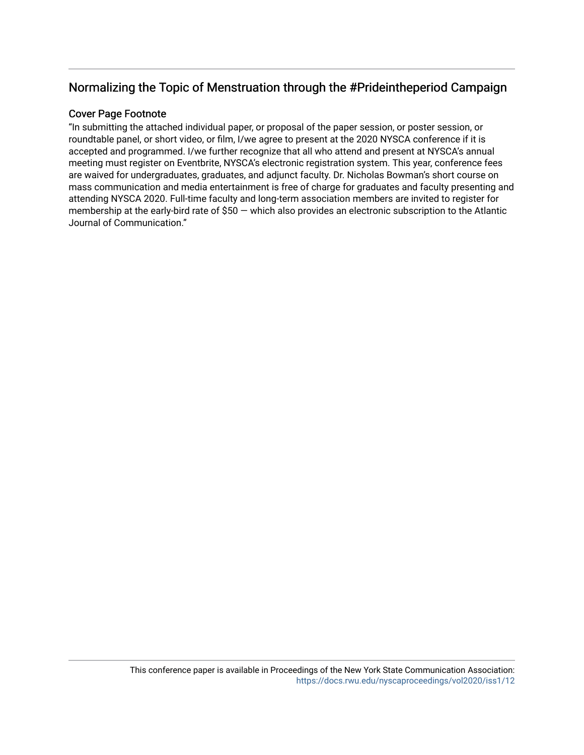## Normalizing the Topic of Menstruation through the #Prideintheperiod Campaign

## Cover Page Footnote

"In submitting the attached individual paper, or proposal of the paper session, or poster session, or roundtable panel, or short video, or film, I/we agree to present at the 2020 NYSCA conference if it is accepted and programmed. I/we further recognize that all who attend and present at NYSCA's annual meeting must register on Eventbrite, NYSCA's electronic registration system. This year, conference fees are waived for undergraduates, graduates, and adjunct faculty. Dr. Nicholas Bowman's short course on mass communication and media entertainment is free of charge for graduates and faculty presenting and attending NYSCA 2020. Full-time faculty and long-term association members are invited to register for membership at the early-bird rate of \$50 — which also provides an electronic subscription to the Atlantic Journal of Communication."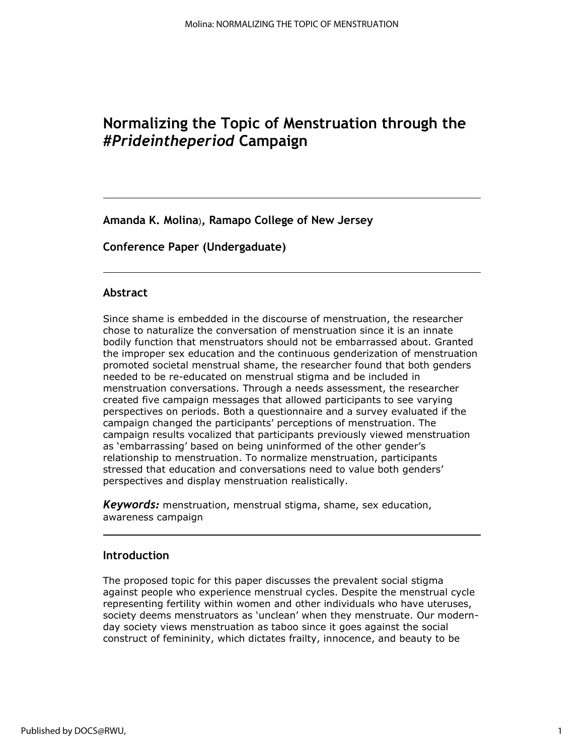## **Normalizing the Topic of Menstruation through the** *#Prideintheperiod* **Campaign**

**Amanda K. Molina**)**, Ramapo College of New Jersey**

**Conference Paper (Undergaduate)**

## **Abstract**

Since shame is embedded in the discourse of menstruation, the researcher chose to naturalize the conversation of menstruation since it is an innate bodily function that menstruators should not be embarrassed about. Granted the improper sex education and the continuous genderization of menstruation promoted societal menstrual shame, the researcher found that both genders needed to be re-educated on menstrual stigma and be included in menstruation conversations. Through a needs assessment, the researcher created five campaign messages that allowed participants to see varying perspectives on periods. Both a questionnaire and a survey evaluated if the campaign changed the participants' perceptions of menstruation. The campaign results vocalized that participants previously viewed menstruation as 'embarrassing' based on being uninformed of the other gender's relationship to menstruation. To normalize menstruation, participants stressed that education and conversations need to value both genders' perspectives and display menstruation realistically.

*Keywords:* menstruation, menstrual stigma, shame, sex education, awareness campaign

## **Introduction**

The proposed topic for this paper discusses the prevalent social stigma against people who experience menstrual cycles. Despite the menstrual cycle representing fertility within women and other individuals who have uteruses, society deems menstruators as 'unclean' when they menstruate. Our modernday society views menstruation as taboo since it goes against the social construct of femininity, which dictates frailty, innocence, and beauty to be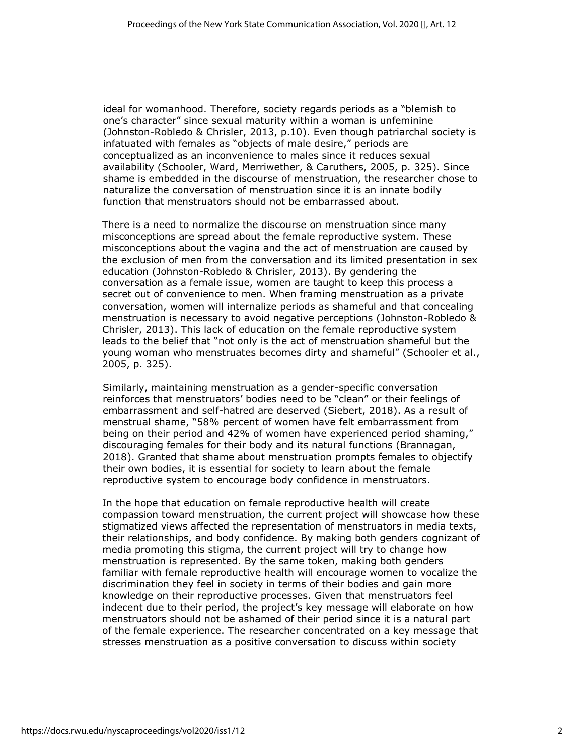ideal for womanhood. Therefore, society regards periods as a "blemish to one's character" since sexual maturity within a woman is unfeminine (Johnston-Robledo & Chrisler, 2013, p.10). Even though patriarchal society is infatuated with females as "objects of male desire," periods are conceptualized as an inconvenience to males since it reduces sexual availability (Schooler, Ward, Merriwether, & Caruthers, 2005, p. 325). Since shame is embedded in the discourse of menstruation, the researcher chose to naturalize the conversation of menstruation since it is an innate bodily function that menstruators should not be embarrassed about.

There is a need to normalize the discourse on menstruation since many misconceptions are spread about the female reproductive system. These misconceptions about the vagina and the act of menstruation are caused by the exclusion of men from the conversation and its limited presentation in sex education (Johnston-Robledo & Chrisler, 2013). By gendering the conversation as a female issue, women are taught to keep this process a secret out of convenience to men. When framing menstruation as a private conversation, women will internalize periods as shameful and that concealing menstruation is necessary to avoid negative perceptions (Johnston-Robledo & Chrisler, 2013). This lack of education on the female reproductive system leads to the belief that "not only is the act of menstruation shameful but the young woman who menstruates becomes dirty and shameful" (Schooler et al., 2005, p. 325).

Similarly, maintaining menstruation as a gender-specific conversation reinforces that menstruators' bodies need to be "clean" or their feelings of embarrassment and self-hatred are deserved (Siebert, 2018). As a result of menstrual shame, "58% percent of women have felt embarrassment from being on their period and 42% of women have experienced period shaming," discouraging females for their body and its natural functions (Brannagan, 2018). Granted that shame about menstruation prompts females to objectify their own bodies, it is essential for society to learn about the female reproductive system to encourage body confidence in menstruators.

In the hope that education on female reproductive health will create compassion toward menstruation, the current project will showcase how these stigmatized views affected the representation of menstruators in media texts, their relationships, and body confidence. By making both genders cognizant of media promoting this stigma, the current project will try to change how menstruation is represented. By the same token, making both genders familiar with female reproductive health will encourage women to vocalize the discrimination they feel in society in terms of their bodies and gain more knowledge on their reproductive processes. Given that menstruators feel indecent due to their period, the project's key message will elaborate on how menstruators should not be ashamed of their period since it is a natural part of the female experience. The researcher concentrated on a key message that stresses menstruation as a positive conversation to discuss within society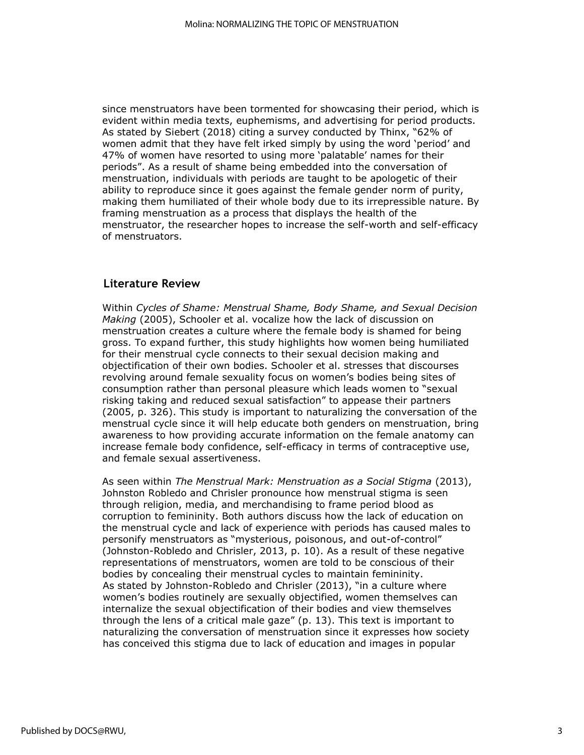since menstruators have been tormented for showcasing their period, which is evident within media texts, euphemisms, and advertising for period products. As stated by Siebert (2018) citing a survey conducted by Thinx, "62% of women admit that they have felt irked simply by using the word 'period' and 47% of women have resorted to using more 'palatable' names for their periods". As a result of shame being embedded into the conversation of menstruation, individuals with periods are taught to be apologetic of their ability to reproduce since it goes against the female gender norm of purity, making them humiliated of their whole body due to its irrepressible nature. By framing menstruation as a process that displays the health of the menstruator, the researcher hopes to increase the self-worth and self-efficacy of menstruators.

## **Literature Review**

Within *Cycles of Shame: Menstrual Shame, Body Shame, and Sexual Decision Making* (2005), Schooler et al. vocalize how the lack of discussion on menstruation creates a culture where the female body is shamed for being gross. To expand further, this study highlights how women being humiliated for their menstrual cycle connects to their sexual decision making and objectification of their own bodies. Schooler et al. stresses that discourses revolving around female sexuality focus on women's bodies being sites of consumption rather than personal pleasure which leads women to "sexual risking taking and reduced sexual satisfaction" to appease their partners (2005, p. 326). This study is important to naturalizing the conversation of the menstrual cycle since it will help educate both genders on menstruation, bring awareness to how providing accurate information on the female anatomy can increase female body confidence, self-efficacy in terms of contraceptive use, and female sexual assertiveness.

As seen within *The Menstrual Mark: Menstruation as a Social Stigma* (2013), Johnston Robledo and Chrisler pronounce how menstrual stigma is seen through religion, media, and merchandising to frame period blood as corruption to femininity. Both authors discuss how the lack of education on the menstrual cycle and lack of experience with periods has caused males to personify menstruators as "mysterious, poisonous, and out-of-control" (Johnston-Robledo and Chrisler, 2013, p. 10). As a result of these negative representations of menstruators, women are told to be conscious of their bodies by concealing their menstrual cycles to maintain femininity. As stated by Johnston-Robledo and Chrisler (2013), "in a culture where women's bodies routinely are sexually objectified, women themselves can internalize the sexual objectification of their bodies and view themselves through the lens of a critical male gaze" (p. 13). This text is important to naturalizing the conversation of menstruation since it expresses how society has conceived this stigma due to lack of education and images in popular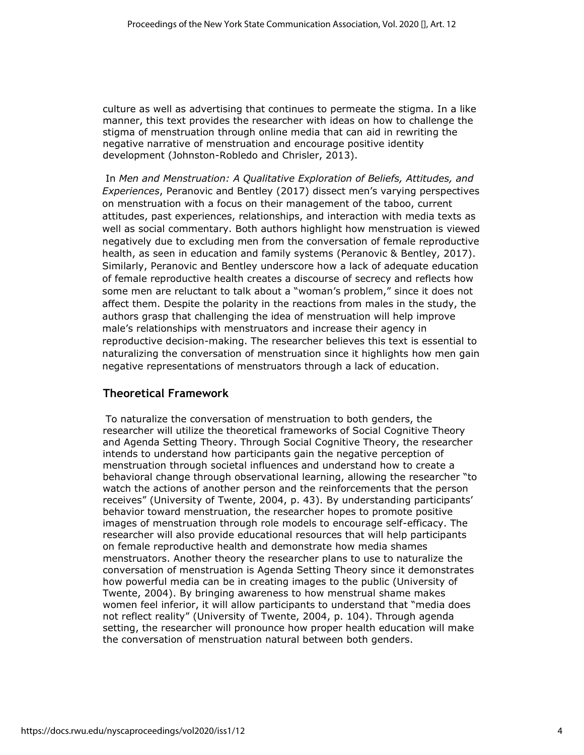culture as well as advertising that continues to permeate the stigma. In a like manner, this text provides the researcher with ideas on how to challenge the stigma of menstruation through online media that can aid in rewriting the negative narrative of menstruation and encourage positive identity development (Johnston-Robledo and Chrisler, 2013).

In *Men and Menstruation: A Qualitative Exploration of Beliefs, Attitudes, and Experiences*, Peranovic and Bentley (2017) dissect men's varying perspectives on menstruation with a focus on their management of the taboo, current attitudes, past experiences, relationships, and interaction with media texts as well as social commentary. Both authors highlight how menstruation is viewed negatively due to excluding men from the conversation of female reproductive health, as seen in education and family systems (Peranovic & Bentley, 2017). Similarly, Peranovic and Bentley underscore how a lack of adequate education of female reproductive health creates a discourse of secrecy and reflects how some men are reluctant to talk about a "woman's problem," since it does not affect them. Despite the polarity in the reactions from males in the study, the authors grasp that challenging the idea of menstruation will help improve male's relationships with menstruators and increase their agency in reproductive decision-making. The researcher believes this text is essential to naturalizing the conversation of menstruation since it highlights how men gain negative representations of menstruators through a lack of education.

## **Theoretical Framework**

To naturalize the conversation of menstruation to both genders, the researcher will utilize the theoretical frameworks of Social Cognitive Theory and Agenda Setting Theory. Through Social Cognitive Theory, the researcher intends to understand how participants gain the negative perception of menstruation through societal influences and understand how to create a behavioral change through observational learning, allowing the researcher "to watch the actions of another person and the reinforcements that the person receives" (University of Twente, 2004, p. 43). By understanding participants' behavior toward menstruation, the researcher hopes to promote positive images of menstruation through role models to encourage self-efficacy. The researcher will also provide educational resources that will help participants on female reproductive health and demonstrate how media shames menstruators. Another theory the researcher plans to use to naturalize the conversation of menstruation is Agenda Setting Theory since it demonstrates how powerful media can be in creating images to the public (University of Twente, 2004). By bringing awareness to how menstrual shame makes women feel inferior, it will allow participants to understand that "media does not reflect reality" (University of Twente, 2004, p. 104). Through agenda setting, the researcher will pronounce how proper health education will make the conversation of menstruation natural between both genders.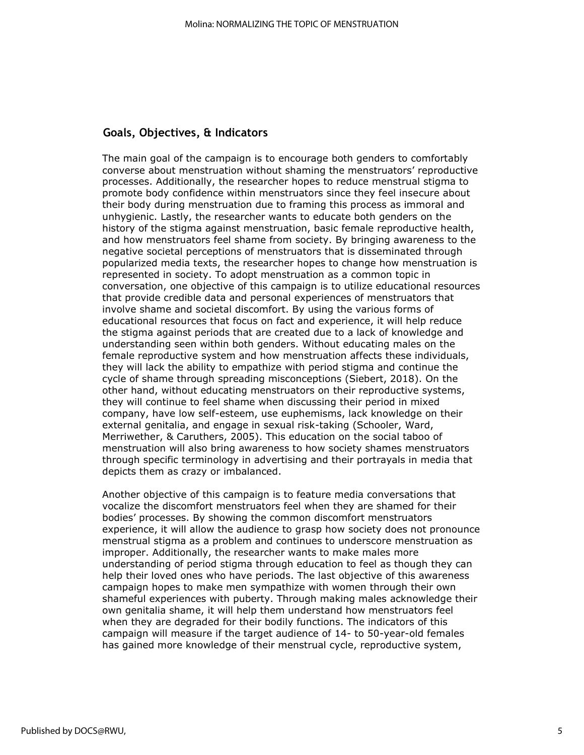## **Goals, Objectives, & Indicators**

The main goal of the campaign is to encourage both genders to comfortably converse about menstruation without shaming the menstruators' reproductive processes. Additionally, the researcher hopes to reduce menstrual stigma to promote body confidence within menstruators since they feel insecure about their body during menstruation due to framing this process as immoral and unhygienic. Lastly, the researcher wants to educate both genders on the history of the stigma against menstruation, basic female reproductive health, and how menstruators feel shame from society. By bringing awareness to the negative societal perceptions of menstruators that is disseminated through popularized media texts, the researcher hopes to change how menstruation is represented in society. To adopt menstruation as a common topic in conversation, one objective of this campaign is to utilize educational resources that provide credible data and personal experiences of menstruators that involve shame and societal discomfort. By using the various forms of educational resources that focus on fact and experience, it will help reduce the stigma against periods that are created due to a lack of knowledge and understanding seen within both genders. Without educating males on the female reproductive system and how menstruation affects these individuals, they will lack the ability to empathize with period stigma and continue the cycle of shame through spreading misconceptions (Siebert, 2018). On the other hand, without educating menstruators on their reproductive systems, they will continue to feel shame when discussing their period in mixed company, have low self-esteem, use euphemisms, lack knowledge on their external genitalia, and engage in sexual risk-taking (Schooler, Ward, Merriwether, & Caruthers, 2005). This education on the social taboo of menstruation will also bring awareness to how society shames menstruators through specific terminology in advertising and their portrayals in media that depicts them as crazy or imbalanced.

Another objective of this campaign is to feature media conversations that vocalize the discomfort menstruators feel when they are shamed for their bodies' processes. By showing the common discomfort menstruators experience, it will allow the audience to grasp how society does not pronounce menstrual stigma as a problem and continues to underscore menstruation as improper. Additionally, the researcher wants to make males more understanding of period stigma through education to feel as though they can help their loved ones who have periods. The last objective of this awareness campaign hopes to make men sympathize with women through their own shameful experiences with puberty. Through making males acknowledge their own genitalia shame, it will help them understand how menstruators feel when they are degraded for their bodily functions. The indicators of this campaign will measure if the target audience of 14- to 50-year-old females has gained more knowledge of their menstrual cycle, reproductive system,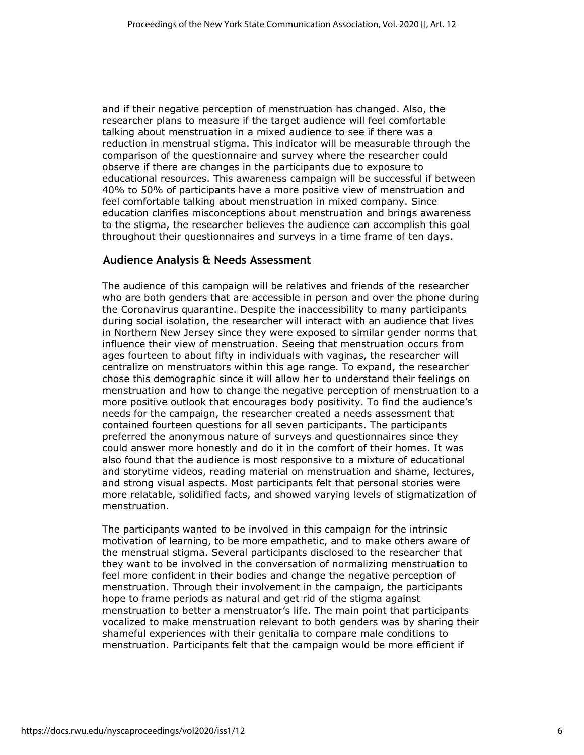and if their negative perception of menstruation has changed. Also, the researcher plans to measure if the target audience will feel comfortable talking about menstruation in a mixed audience to see if there was a reduction in menstrual stigma. This indicator will be measurable through the comparison of the questionnaire and survey where the researcher could observe if there are changes in the participants due to exposure to educational resources. This awareness campaign will be successful if between 40% to 50% of participants have a more positive view of menstruation and feel comfortable talking about menstruation in mixed company. Since education clarifies misconceptions about menstruation and brings awareness to the stigma, the researcher believes the audience can accomplish this goal throughout their questionnaires and surveys in a time frame of ten days.

## **Audience Analysis & Needs Assessment**

The audience of this campaign will be relatives and friends of the researcher who are both genders that are accessible in person and over the phone during the Coronavirus quarantine. Despite the inaccessibility to many participants during social isolation, the researcher will interact with an audience that lives in Northern New Jersey since they were exposed to similar gender norms that influence their view of menstruation. Seeing that menstruation occurs from ages fourteen to about fifty in individuals with vaginas, the researcher will centralize on menstruators within this age range. To expand, the researcher chose this demographic since it will allow her to understand their feelings on menstruation and how to change the negative perception of menstruation to a more positive outlook that encourages body positivity. To find the audience's needs for the campaign, the researcher created a needs assessment that contained fourteen questions for all seven participants. The participants preferred the anonymous nature of surveys and questionnaires since they could answer more honestly and do it in the comfort of their homes. It was also found that the audience is most responsive to a mixture of educational and storytime videos, reading material on menstruation and shame, lectures, and strong visual aspects. Most participants felt that personal stories were more relatable, solidified facts, and showed varying levels of stigmatization of menstruation.

The participants wanted to be involved in this campaign for the intrinsic motivation of learning, to be more empathetic, and to make others aware of the menstrual stigma. Several participants disclosed to the researcher that they want to be involved in the conversation of normalizing menstruation to feel more confident in their bodies and change the negative perception of menstruation. Through their involvement in the campaign, the participants hope to frame periods as natural and get rid of the stigma against menstruation to better a menstruator's life. The main point that participants vocalized to make menstruation relevant to both genders was by sharing their shameful experiences with their genitalia to compare male conditions to menstruation. Participants felt that the campaign would be more efficient if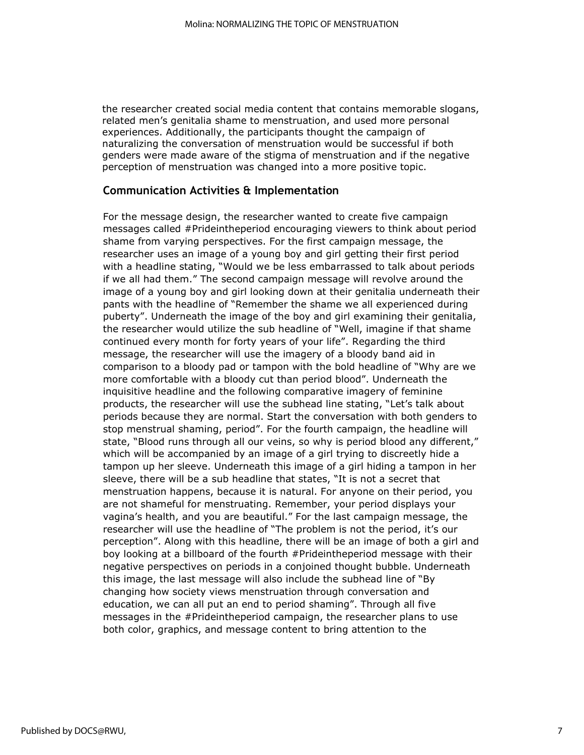the researcher created social media content that contains memorable slogans, related men's genitalia shame to menstruation, and used more personal experiences. Additionally, the participants thought the campaign of naturalizing the conversation of menstruation would be successful if both genders were made aware of the stigma of menstruation and if the negative perception of menstruation was changed into a more positive topic.

### **Communication Activities & Implementation**

For the message design, the researcher wanted to create five campaign messages called #Prideintheperiod encouraging viewers to think about period shame from varying perspectives. For the first campaign message, the researcher uses an image of a young boy and girl getting their first period with a headline stating, "Would we be less embarrassed to talk about periods if we all had them." The second campaign message will revolve around the image of a young boy and girl looking down at their genitalia underneath their pants with the headline of "Remember the shame we all experienced during puberty". Underneath the image of the boy and girl examining their genitalia, the researcher would utilize the sub headline of "Well, imagine if that shame continued every month for forty years of your life". Regarding the third message, the researcher will use the imagery of a bloody band aid in comparison to a bloody pad or tampon with the bold headline of "Why are we more comfortable with a bloody cut than period blood". Underneath the inquisitive headline and the following comparative imagery of feminine products, the researcher will use the subhead line stating, "Let's talk about periods because they are normal. Start the conversation with both genders to stop menstrual shaming, period". For the fourth campaign, the headline will state, "Blood runs through all our veins, so why is period blood any different," which will be accompanied by an image of a girl trying to discreetly hide a tampon up her sleeve. Underneath this image of a girl hiding a tampon in her sleeve, there will be a sub headline that states, "It is not a secret that menstruation happens, because it is natural. For anyone on their period, you are not shameful for menstruating. Remember, your period displays your vagina's health, and you are beautiful." For the last campaign message, the researcher will use the headline of "The problem is not the period, it's our perception". Along with this headline, there will be an image of both a girl and boy looking at a billboard of the fourth #Prideintheperiod message with their negative perspectives on periods in a conjoined thought bubble. Underneath this image, the last message will also include the subhead line of "By changing how society views menstruation through conversation and education, we can all put an end to period shaming". Through all five messages in the #Prideintheperiod campaign, the researcher plans to use both color, graphics, and message content to bring attention to the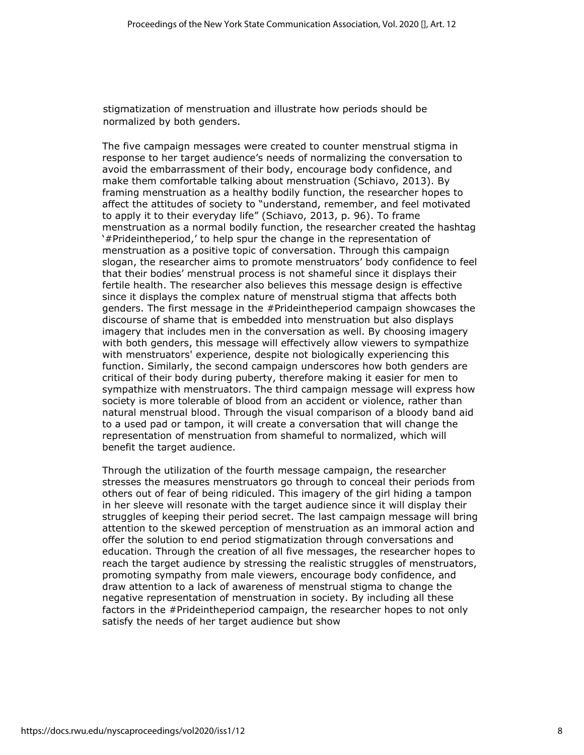stigmatization of menstruation and illustrate how periods should be normalized by both genders.

The five campaign messages were created to counter menstrual stigma in response to her target audience's needs of normalizing the conversation to avoid the embarrassment of their body, encourage body confidence, and make them comfortable talking about menstruation (Schiavo, 2013). By framing menstruation as a healthy bodily function, the researcher hopes to affect the attitudes of society to "understand, remember, and feel motivated to apply it to their everyday life" (Schiavo, 2013, p. 96). To frame menstruation as a normal bodily function, the researcher created the hashtag '#Prideintheperiod,' to help spur the change in the representation of menstruation as a positive topic of conversation. Through this campaign slogan, the researcher aims to promote menstruators' body confidence to feel that their bodies' menstrual process is not shameful since it displays their fertile health. The researcher also believes this message design is effective since it displays the complex nature of menstrual stigma that affects both genders. The first message in the #Prideintheperiod campaign showcases the discourse of shame that is embedded into menstruation but also displays imagery that includes men in the conversation as well. By choosing imagery with both genders, this message will effectively allow viewers to sympathize with menstruators' experience, despite not biologically experiencing this function. Similarly, the second campaign underscores how both genders are critical of their body during puberty, therefore making it easier for men to sympathize with menstruators. The third campaign message will express how society is more tolerable of blood from an accident or violence, rather than natural menstrual blood. Through the visual comparison of a bloody band aid to a used pad or tampon, it will create a conversation that will change the representation of menstruation from shameful to normalized, which will benefit the target audience.

Through the utilization of the fourth message campaign, the researcher stresses the measures menstruators go through to conceal their periods from others out of fear of being ridiculed. This imagery of the girl hiding a tampon in her sleeve will resonate with the target audience since it will display their struggles of keeping their period secret. The last campaign message will bring attention to the skewed perception of menstruation as an immoral action and offer the solution to end period stigmatization through conversations and education. Through the creation of all five messages, the researcher hopes to reach the target audience by stressing the realistic struggles of menstruators, promoting sympathy from male viewers, encourage body confidence, and draw attention to a lack of awareness of menstrual stigma to change the negative representation of menstruation in society. By including all these factors in the #Prideintheperiod campaign, the researcher hopes to not only satisfy the needs of her target audience but show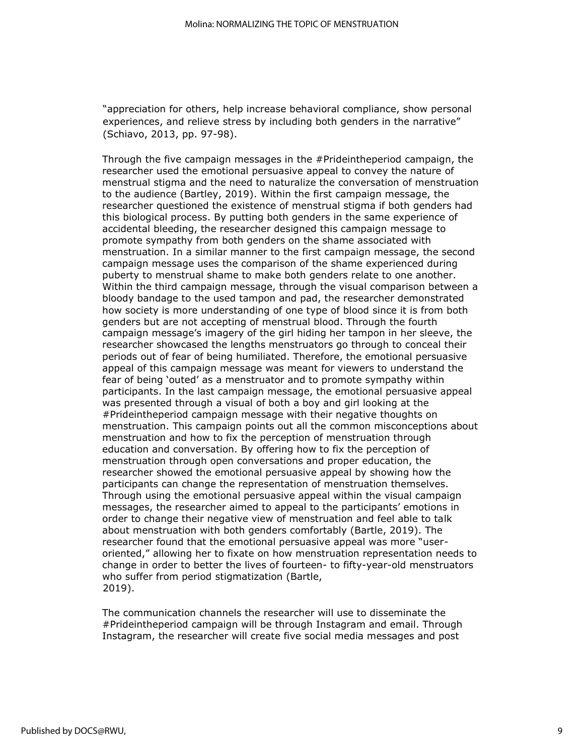"appreciation for others, help increase behavioral compliance, show personal experiences, and relieve stress by including both genders in the narrative" (Schiavo, 2013, pp. 97-98).

Through the five campaign messages in the #Prideintheperiod campaign, the researcher used the emotional persuasive appeal to convey the nature of menstrual stigma and the need to naturalize the conversation of menstruation to the audience (Bartley, 2019). Within the first campaign message, the researcher questioned the existence of menstrual stigma if both genders had this biological process. By putting both genders in the same experience of accidental bleeding, the researcher designed this campaign message to promote sympathy from both genders on the shame associated with menstruation. In a similar manner to the first campaign message, the second campaign message uses the comparison of the shame experienced during puberty to menstrual shame to make both genders relate to one another. Within the third campaign message, through the visual comparison between a bloody bandage to the used tampon and pad, the researcher demonstrated how society is more understanding of one type of blood since it is from both genders but are not accepting of menstrual blood. Through the fourth campaign message's imagery of the girl hiding her tampon in her sleeve, the researcher showcased the lengths menstruators go through to conceal their periods out of fear of being humiliated. Therefore, the emotional persuasive appeal of this campaign message was meant for viewers to understand the fear of being 'outed' as a menstruator and to promote sympathy within participants. In the last campaign message, the emotional persuasive appeal was presented through a visual of both a boy and girl looking at the #Prideintheperiod campaign message with their negative thoughts on menstruation. This campaign points out all the common misconceptions about menstruation and how to fix the perception of menstruation through education and conversation. By offering how to fix the perception of menstruation through open conversations and proper education, the researcher showed the emotional persuasive appeal by showing how the participants can change the representation of menstruation themselves. Through using the emotional persuasive appeal within the visual campaign messages, the researcher aimed to appeal to the participants' emotions in order to change their negative view of menstruation and feel able to talk about menstruation with both genders comfortably (Bartle, 2019). The researcher found that the emotional persuasive appeal was more "useroriented," allowing her to fixate on how menstruation representation needs to change in order to better the lives of fourteen- to fifty-year-old menstruators who suffer from period stigmatization (Bartle, 2019).

The communication channels the researcher will use to disseminate the #Prideintheperiod campaign will be through Instagram and email. Through Instagram, the researcher will create five social media messages and post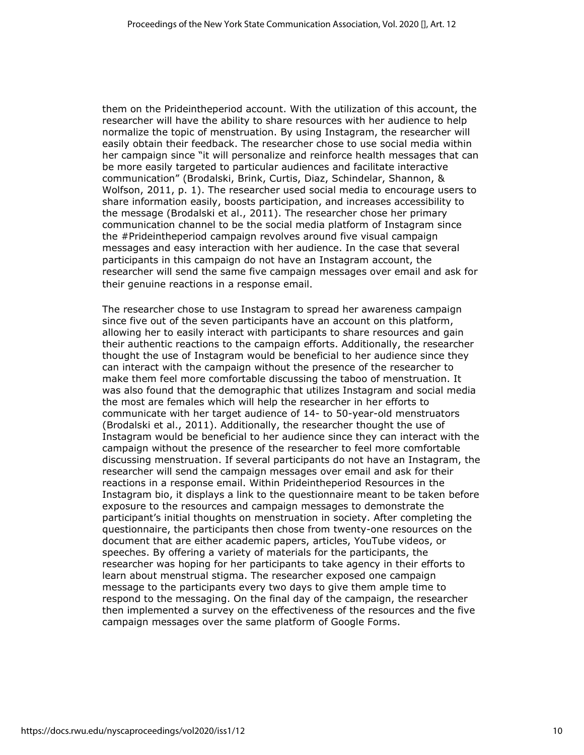them on the Prideintheperiod account. With the utilization of this account, the researcher will have the ability to share resources with her audience to help normalize the topic of menstruation. By using Instagram, the researcher will easily obtain their feedback. The researcher chose to use social media within her campaign since "it will personalize and reinforce health messages that can be more easily targeted to particular audiences and facilitate interactive communication" (Brodalski, Brink, Curtis, Diaz, Schindelar, Shannon, & Wolfson, 2011, p. 1). The researcher used social media to encourage users to share information easily, boosts participation, and increases accessibility to the message (Brodalski et al., 2011). The researcher chose her primary communication channel to be the social media platform of Instagram since the #Prideintheperiod campaign revolves around five visual campaign messages and easy interaction with her audience. In the case that several participants in this campaign do not have an Instagram account, the researcher will send the same five campaign messages over email and ask for their genuine reactions in a response email.

The researcher chose to use Instagram to spread her awareness campaign since five out of the seven participants have an account on this platform, allowing her to easily interact with participants to share resources and gain their authentic reactions to the campaign efforts. Additionally, the researcher thought the use of Instagram would be beneficial to her audience since they can interact with the campaign without the presence of the researcher to make them feel more comfortable discussing the taboo of menstruation. It was also found that the demographic that utilizes Instagram and social media the most are females which will help the researcher in her efforts to communicate with her target audience of 14- to 50-year-old menstruators (Brodalski et al., 2011). Additionally, the researcher thought the use of Instagram would be beneficial to her audience since they can interact with the campaign without the presence of the researcher to feel more comfortable discussing menstruation. If several participants do not have an Instagram, the researcher will send the campaign messages over email and ask for their reactions in a response email. Within Prideintheperiod Resources in the Instagram bio, it displays a link to the questionnaire meant to be taken before exposure to the resources and campaign messages to demonstrate the participant's initial thoughts on menstruation in society. After completing the questionnaire, the participants then chose from twenty-one resources on the document that are either academic papers, articles, YouTube videos, or speeches. By offering a variety of materials for the participants, the researcher was hoping for her participants to take agency in their efforts to learn about menstrual stigma. The researcher exposed one campaign message to the participants every two days to give them ample time to respond to the messaging. On the final day of the campaign, the researcher then implemented a survey on the effectiveness of the resources and the five campaign messages over the same platform of Google Forms.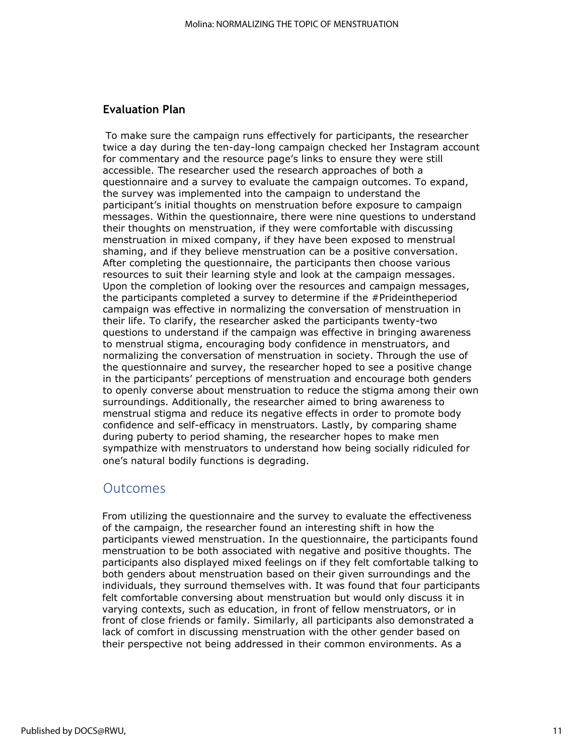## **Evaluation Plan**

To make sure the campaign runs effectively for participants, the researcher twice a day during the ten-day-long campaign checked her Instagram account for commentary and the resource page's links to ensure they were still accessible. The researcher used the research approaches of both a questionnaire and a survey to evaluate the campaign outcomes. To expand, the survey was implemented into the campaign to understand the participant's initial thoughts on menstruation before exposure to campaign messages. Within the questionnaire, there were nine questions to understand their thoughts on menstruation, if they were comfortable with discussing menstruation in mixed company, if they have been exposed to menstrual shaming, and if they believe menstruation can be a positive conversation. After completing the questionnaire, the participants then choose various resources to suit their learning style and look at the campaign messages. Upon the completion of looking over the resources and campaign messages, the participants completed a survey to determine if the #Prideintheperiod campaign was effective in normalizing the conversation of menstruation in their life. To clarify, the researcher asked the participants twenty-two questions to understand if the campaign was effective in bringing awareness to menstrual stigma, encouraging body confidence in menstruators, and normalizing the conversation of menstruation in society. Through the use of the questionnaire and survey, the researcher hoped to see a positive change in the participants' perceptions of menstruation and encourage both genders to openly converse about menstruation to reduce the stigma among their own surroundings. Additionally, the researcher aimed to bring awareness to menstrual stigma and reduce its negative effects in order to promote body confidence and self-efficacy in menstruators. Lastly, by comparing shame during puberty to period shaming, the researcher hopes to make men sympathize with menstruators to understand how being socially ridiculed for one's natural bodily functions is degrading.

## Outcomes

From utilizing the questionnaire and the survey to evaluate the effectiveness of the campaign, the researcher found an interesting shift in how the participants viewed menstruation. In the questionnaire, the participants found menstruation to be both associated with negative and positive thoughts. The participants also displayed mixed feelings on if they felt comfortable talking to both genders about menstruation based on their given surroundings and the individuals, they surround themselves with. It was found that four participants felt comfortable conversing about menstruation but would only discuss it in varying contexts, such as education, in front of fellow menstruators, or in front of close friends or family. Similarly, all participants also demonstrated a lack of comfort in discussing menstruation with the other gender based on their perspective not being addressed in their common environments. As a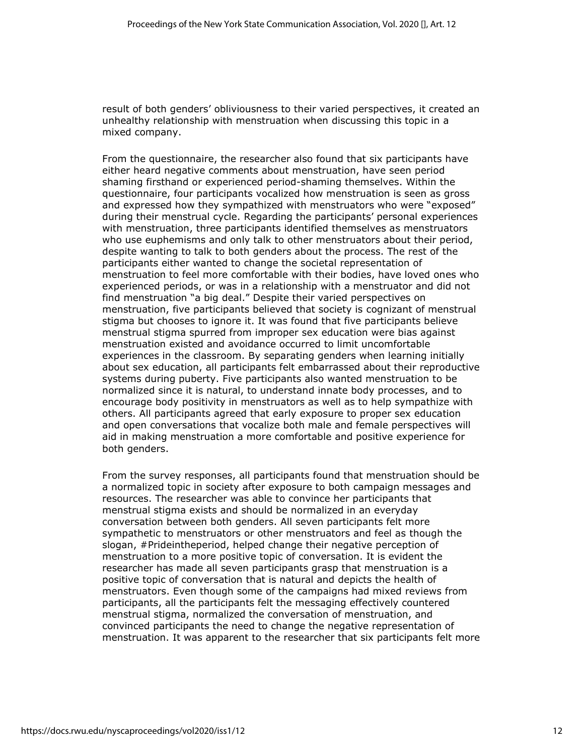result of both genders' obliviousness to their varied perspectives, it created an unhealthy relationship with menstruation when discussing this topic in a mixed company.

From the questionnaire, the researcher also found that six participants have either heard negative comments about menstruation, have seen period shaming firsthand or experienced period-shaming themselves. Within the questionnaire, four participants vocalized how menstruation is seen as gross and expressed how they sympathized with menstruators who were "exposed" during their menstrual cycle. Regarding the participants' personal experiences with menstruation, three participants identified themselves as menstruators who use euphemisms and only talk to other menstruators about their period, despite wanting to talk to both genders about the process. The rest of the participants either wanted to change the societal representation of menstruation to feel more comfortable with their bodies, have loved ones who experienced periods, or was in a relationship with a menstruator and did not find menstruation "a big deal." Despite their varied perspectives on menstruation, five participants believed that society is cognizant of menstrual stigma but chooses to ignore it. It was found that five participants believe menstrual stigma spurred from improper sex education were bias against menstruation existed and avoidance occurred to limit uncomfortable experiences in the classroom. By separating genders when learning initially about sex education, all participants felt embarrassed about their reproductive systems during puberty. Five participants also wanted menstruation to be normalized since it is natural, to understand innate body processes, and to encourage body positivity in menstruators as well as to help sympathize with others. All participants agreed that early exposure to proper sex education and open conversations that vocalize both male and female perspectives will aid in making menstruation a more comfortable and positive experience for both genders.

From the survey responses, all participants found that menstruation should be a normalized topic in society after exposure to both campaign messages and resources. The researcher was able to convince her participants that menstrual stigma exists and should be normalized in an everyday conversation between both genders. All seven participants felt more sympathetic to menstruators or other menstruators and feel as though the slogan, #Prideintheperiod, helped change their negative perception of menstruation to a more positive topic of conversation. It is evident the researcher has made all seven participants grasp that menstruation is a positive topic of conversation that is natural and depicts the health of menstruators. Even though some of the campaigns had mixed reviews from participants, all the participants felt the messaging effectively countered menstrual stigma, normalized the conversation of menstruation, and convinced participants the need to change the negative representation of menstruation. It was apparent to the researcher that six participants felt more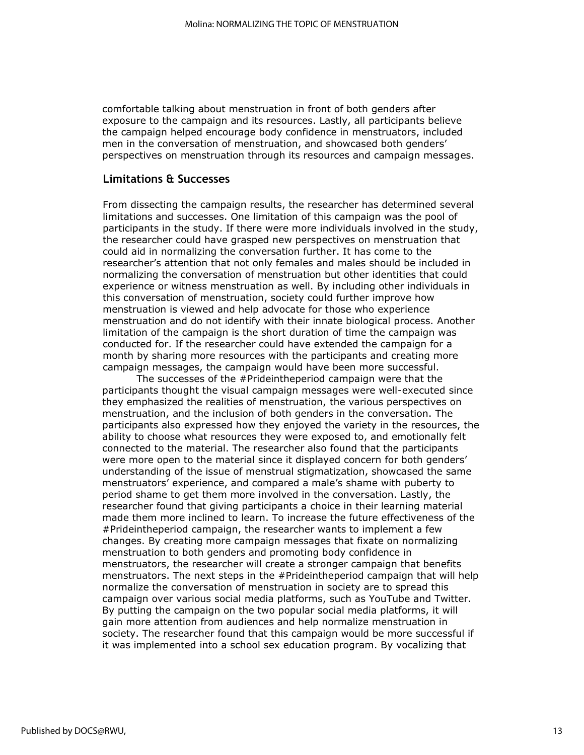comfortable talking about menstruation in front of both genders after exposure to the campaign and its resources. Lastly, all participants believe the campaign helped encourage body confidence in menstruators, included men in the conversation of menstruation, and showcased both genders' perspectives on menstruation through its resources and campaign messages.

### **Limitations & Successes**

From dissecting the campaign results, the researcher has determined several limitations and successes. One limitation of this campaign was the pool of participants in the study. If there were more individuals involved in the study, the researcher could have grasped new perspectives on menstruation that could aid in normalizing the conversation further. It has come to the researcher's attention that not only females and males should be included in normalizing the conversation of menstruation but other identities that could experience or witness menstruation as well. By including other individuals in this conversation of menstruation, society could further improve how menstruation is viewed and help advocate for those who experience menstruation and do not identify with their innate biological process. Another limitation of the campaign is the short duration of time the campaign was conducted for. If the researcher could have extended the campaign for a month by sharing more resources with the participants and creating more campaign messages, the campaign would have been more successful.

The successes of the #Prideintheperiod campaign were that the participants thought the visual campaign messages were well-executed since they emphasized the realities of menstruation, the various perspectives on menstruation, and the inclusion of both genders in the conversation. The participants also expressed how they enjoyed the variety in the resources, the ability to choose what resources they were exposed to, and emotionally felt connected to the material. The researcher also found that the participants were more open to the material since it displayed concern for both genders' understanding of the issue of menstrual stigmatization, showcased the same menstruators' experience, and compared a male's shame with puberty to period shame to get them more involved in the conversation. Lastly, the researcher found that giving participants a choice in their learning material made them more inclined to learn. To increase the future effectiveness of the #Prideintheperiod campaign, the researcher wants to implement a few changes. By creating more campaign messages that fixate on normalizing menstruation to both genders and promoting body confidence in menstruators, the researcher will create a stronger campaign that benefits menstruators. The next steps in the #Prideintheperiod campaign that will help normalize the conversation of menstruation in society are to spread this campaign over various social media platforms, such as YouTube and Twitter. By putting the campaign on the two popular social media platforms, it will gain more attention from audiences and help normalize menstruation in society. The researcher found that this campaign would be more successful if it was implemented into a school sex education program. By vocalizing that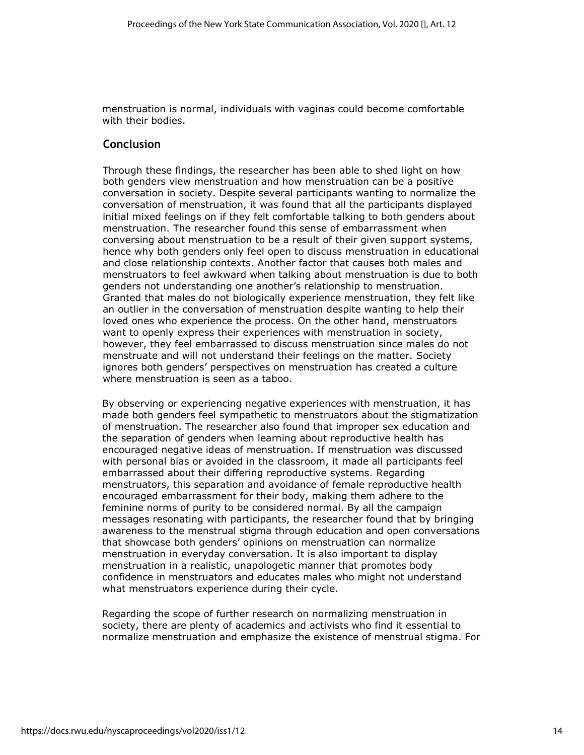menstruation is normal, individuals with vaginas could become comfortable with their bodies.

## **Conclusion**

Through these findings, the researcher has been able to shed light on how both genders view menstruation and how menstruation can be a positive conversation in society. Despite several participants wanting to normalize the conversation of menstruation, it was found that all the participants displayed initial mixed feelings on if they felt comfortable talking to both genders about menstruation. The researcher found this sense of embarrassment when conversing about menstruation to be a result of their given support systems, hence why both genders only feel open to discuss menstruation in educational and close relationship contexts. Another factor that causes both males and menstruators to feel awkward when talking about menstruation is due to both genders not understanding one another's relationship to menstruation. Granted that males do not biologically experience menstruation, they felt like an outlier in the conversation of menstruation despite wanting to help their loved ones who experience the process. On the other hand, menstruators want to openly express their experiences with menstruation in society, however, they feel embarrassed to discuss menstruation since males do not menstruate and will not understand their feelings on the matter. Society ignores both genders' perspectives on menstruation has created a culture where menstruation is seen as a taboo.

By observing or experiencing negative experiences with menstruation, it has made both genders feel sympathetic to menstruators about the stigmatization of menstruation. The researcher also found that improper sex education and the separation of genders when learning about reproductive health has encouraged negative ideas of menstruation. If menstruation was discussed with personal bias or avoided in the classroom, it made all participants feel embarrassed about their differing reproductive systems. Regarding menstruators, this separation and avoidance of female reproductive health encouraged embarrassment for their body, making them adhere to the feminine norms of purity to be considered normal. By all the campaign messages resonating with participants, the researcher found that by bringing awareness to the menstrual stigma through education and open conversations that showcase both genders' opinions on menstruation can normalize menstruation in everyday conversation. It is also important to display menstruation in a realistic, unapologetic manner that promotes body confidence in menstruators and educates males who might not understand what menstruators experience during their cycle.

Regarding the scope of further research on normalizing menstruation in society, there are plenty of academics and activists who find it essential to normalize menstruation and emphasize the existence of menstrual stigma. For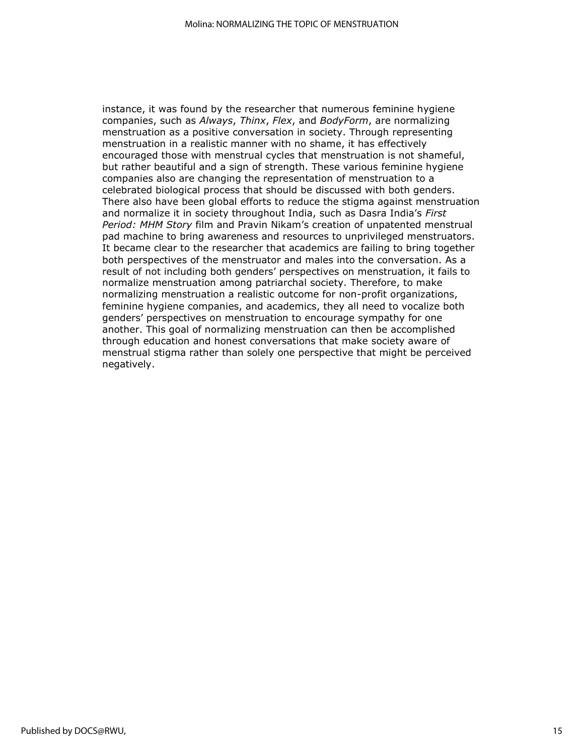instance, it was found by the researcher that numerous feminine hygiene companies, such as *Always*, *Thinx*, *Flex*, and *BodyForm*, are normalizing menstruation as a positive conversation in society. Through representing menstruation in a realistic manner with no shame, it has effectively encouraged those with menstrual cycles that menstruation is not shameful, but rather beautiful and a sign of strength. These various feminine hygiene companies also are changing the representation of menstruation to a celebrated biological process that should be discussed with both genders. There also have been global efforts to reduce the stigma against menstruation and normalize it in society throughout India, such as Dasra India's *First Period: MHM Story* film and Pravin Nikam's creation of unpatented menstrual pad machine to bring awareness and resources to unprivileged menstruators. It became clear to the researcher that academics are failing to bring together both perspectives of the menstruator and males into the conversation. As a result of not including both genders' perspectives on menstruation, it fails to normalize menstruation among patriarchal society. Therefore, to make normalizing menstruation a realistic outcome for non-profit organizations, feminine hygiene companies, and academics, they all need to vocalize both genders' perspectives on menstruation to encourage sympathy for one another. This goal of normalizing menstruation can then be accomplished through education and honest conversations that make society aware of menstrual stigma rather than solely one perspective that might be perceived negatively.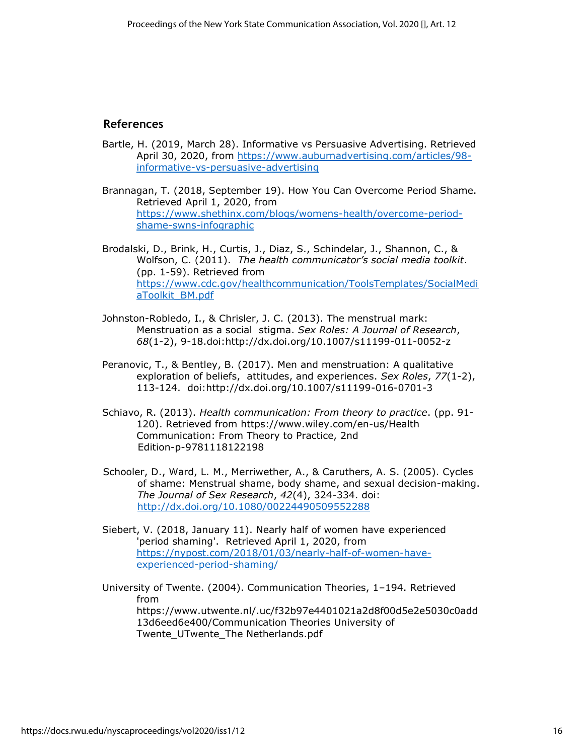### **References**

- Bartle, H. (2019, March 28). Informative vs Persuasive Advertising. Retrieved April 30, 2020, from [https://www.auburnadvertising.com/articles/98](https://www.auburnadvertising.com/articles/98-informative-vs-persuasive-advertising) [informative-vs-persuasive-advertising](https://www.auburnadvertising.com/articles/98-informative-vs-persuasive-advertising)
- Brannagan, T. (2018, September 19). How You Can Overcome Period Shame. Retrieved April 1, 2020, from [https://www.shethinx.com/blogs/womens-health/overcome-period](https://www.shethinx.com/blogs/womens-health/overcome-period-shame-swns-infographic)[shame-swns-infographic](https://www.shethinx.com/blogs/womens-health/overcome-period-shame-swns-infographic)

Brodalski, D., Brink, H., Curtis, J., Diaz, S., Schindelar, J., Shannon, C., & Wolfson, C. (2011). *The health communicator's social media toolkit*. (pp. 1-59). Retrieved from [https://www.cdc.gov/healthcommunication/ToolsTemplates/SocialMedi](https://www.cdc.gov/healthcommunication/ToolsTemplates/SocialMediaToolkit_BM.pdf) [aToolkit\\_BM.pdf](https://www.cdc.gov/healthcommunication/ToolsTemplates/SocialMediaToolkit_BM.pdf)

- Johnston-Robledo, I., & Chrisler, J. C. (2013). The menstrual mark: Menstruation as a social stigma. *Sex Roles: A Journal of Research*, *68*(1-2), 9-18.doi:http://dx.doi.org/10.1007/s11199-011-0052-z
- Peranovic, T., & Bentley, B. (2017). Men and menstruation: A qualitative exploration of beliefs, attitudes, and experiences. *Sex Roles*, *77*(1-2), 113-124. doi:http://dx.doi.org/10.1007/s11199-016-0701-3
- Schiavo, R. (2013). *Health communication: From theory to practice*. (pp. 91- 120). Retrieved from https://www.wiley.com/en-us/Health Communication: From Theory to Practice, 2nd Edition-p-9781118122198
- Schooler, D., Ward, L. M., Merriwether, A., & Caruthers, A. S. (2005). Cycles of shame: Menstrual shame, body shame, and sexual decision-making. *The Journal of Sex Research*, *42*(4), 324-334. doi: <http://dx.doi.org/10.1080/00224490509552288>
- Siebert, V. (2018, January 11). Nearly half of women have experienced 'period shaming'. Retrieved April 1, 2020, from [https://nypost.com/2018/01/03/nearly-half-of-women-have](https://nypost.com/2018/01/03/nearly-half-of-women-have-experienced-period-shaming/)[experienced-period-shaming/](https://nypost.com/2018/01/03/nearly-half-of-women-have-experienced-period-shaming/)
- University of Twente. (2004). Communication Theories, 1–194. Retrieved from https://www.utwente.nl/.uc/f32b97e4401021a2d8f00d5e2e5030c0add 13d6eed6e400/Communication Theories University of Twente\_UTwente\_The Netherlands.pdf